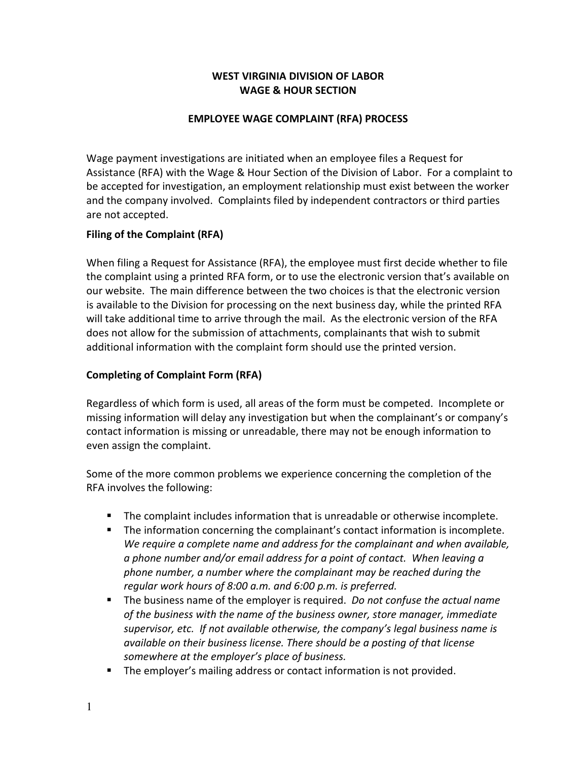# WEST VIRGINIA DIVISION OF LABOR WAGE & HOUR SECTION

## EMPLOYEE WAGE COMPLAINT (RFA) PROCESS

Wage payment investigations are initiated when an employee files a Request for Assistance (RFA) with the Wage & Hour Section of the Division of Labor. For a complaint to be accepted for investigation, an employment relationship must exist between the worker and the company involved. Complaints filed by independent contractors or third parties are not accepted.

## Filing of the Complaint (RFA)

When filing a Request for Assistance (RFA), the employee must first decide whether to file the complaint using a printed RFA form, or to use the electronic version that's available on our website. The main difference between the two choices is that the electronic version is available to the Division for processing on the next business day, while the printed RFA will take additional time to arrive through the mail. As the electronic version of the RFA does not allow for the submission of attachments, complainants that wish to submit additional information with the complaint form should use the printed version.

## Completing of Complaint Form (RFA)

Regardless of which form is used, all areas of the form must be competed. Incomplete or missing information will delay any investigation but when the complainant's or company's contact information is missing or unreadable, there may not be enough information to even assign the complaint.

Some of the more common problems we experience concerning the completion of the RFA involves the following:

- The complaint includes information that is unreadable or otherwise incomplete.
- The information concerning the complainant's contact information is incomplete. We require a complete name and address for the complainant and when available, a phone number and/or email address for a point of contact. When leaving a phone number, a number where the complainant may be reached during the regular work hours of 8:00 a.m. and 6:00 p.m. is preferred.
- The business name of the employer is required. Do not confuse the actual name of the business with the name of the business owner, store manager, immediate supervisor, etc. If not available otherwise, the company's legal business name is available on their business license. There should be a posting of that license somewhere at the employer's place of business.
- **The employer's mailing address or contact information is not provided.**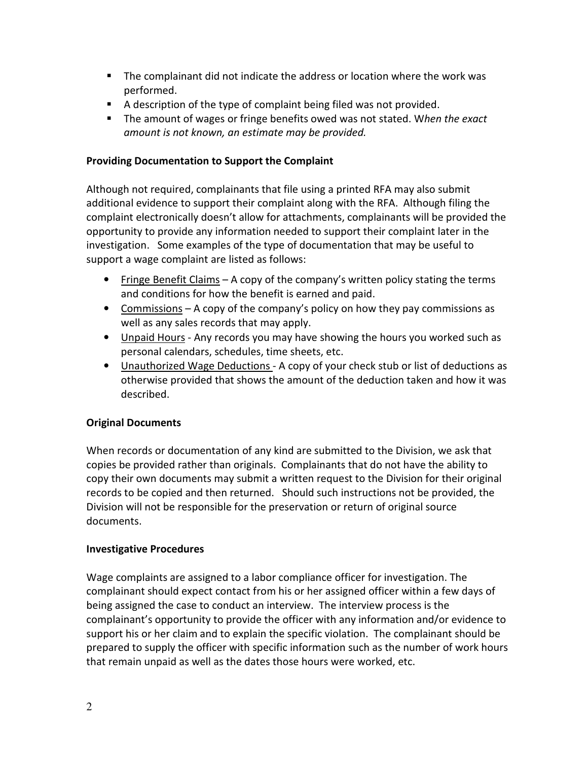- The complainant did not indicate the address or location where the work was performed.
- A description of the type of complaint being filed was not provided.
- The amount of wages or fringe benefits owed was not stated. When the exact amount is not known, an estimate may be provided.

## Providing Documentation to Support the Complaint

Although not required, complainants that file using a printed RFA may also submit additional evidence to support their complaint along with the RFA. Although filing the complaint electronically doesn't allow for attachments, complainants will be provided the opportunity to provide any information needed to support their complaint later in the investigation. Some examples of the type of documentation that may be useful to support a wage complaint are listed as follows:

- Fringe Benefit Claims A copy of the company's written policy stating the terms and conditions for how the benefit is earned and paid.
- Commissions A copy of the company's policy on how they pay commissions as well as any sales records that may apply.
- Unpaid Hours Any records you may have showing the hours you worked such as personal calendars, schedules, time sheets, etc.
- Unauthorized Wage Deductions A copy of your check stub or list of deductions as otherwise provided that shows the amount of the deduction taken and how it was described.

## Original Documents

When records or documentation of any kind are submitted to the Division, we ask that copies be provided rather than originals. Complainants that do not have the ability to copy their own documents may submit a written request to the Division for their original records to be copied and then returned. Should such instructions not be provided, the Division will not be responsible for the preservation or return of original source documents.

#### Investigative Procedures

Wage complaints are assigned to a labor compliance officer for investigation. The complainant should expect contact from his or her assigned officer within a few days of being assigned the case to conduct an interview. The interview process is the complainant's opportunity to provide the officer with any information and/or evidence to support his or her claim and to explain the specific violation. The complainant should be prepared to supply the officer with specific information such as the number of work hours that remain unpaid as well as the dates those hours were worked, etc.